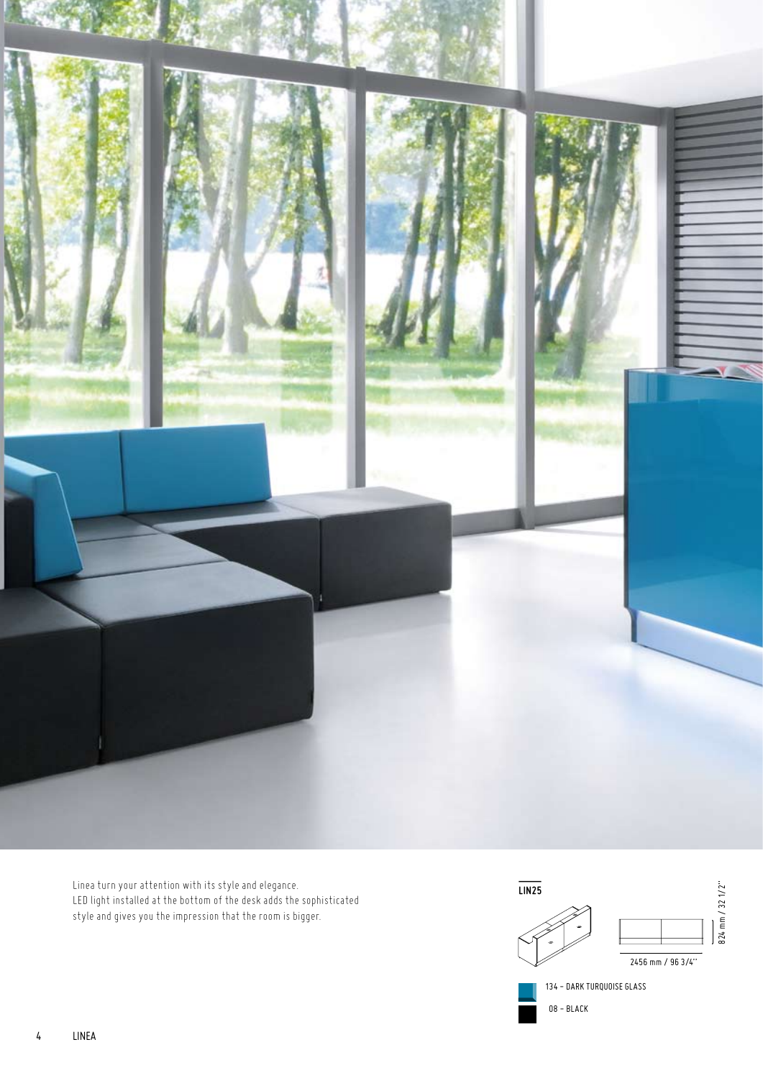

Linea turn your attention with its style and elegance. LED light installed at the bottom of the desk adds the sophisticated style and gives you the impression that the room is bigger.

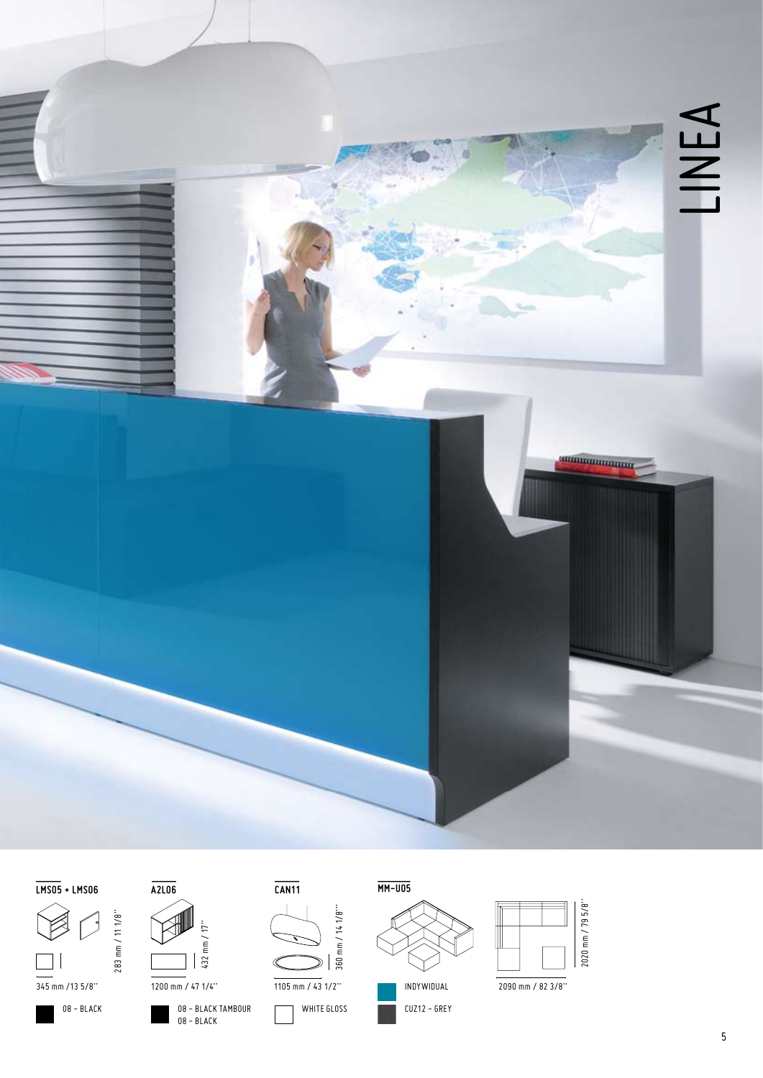





 $\frac{1}{432 \text{ mm}}$  / 17" 432 mm / 17''

08 - black TAMBOUR 08 - B 08 - BLACK WHITE GLOSS

1105 mm / 43 1/2"

360 mm / 14 1/8'''

 $360 \text{ mm} / 141/8"$ 

**CAN11**





2090 mm / 82 3/8''

5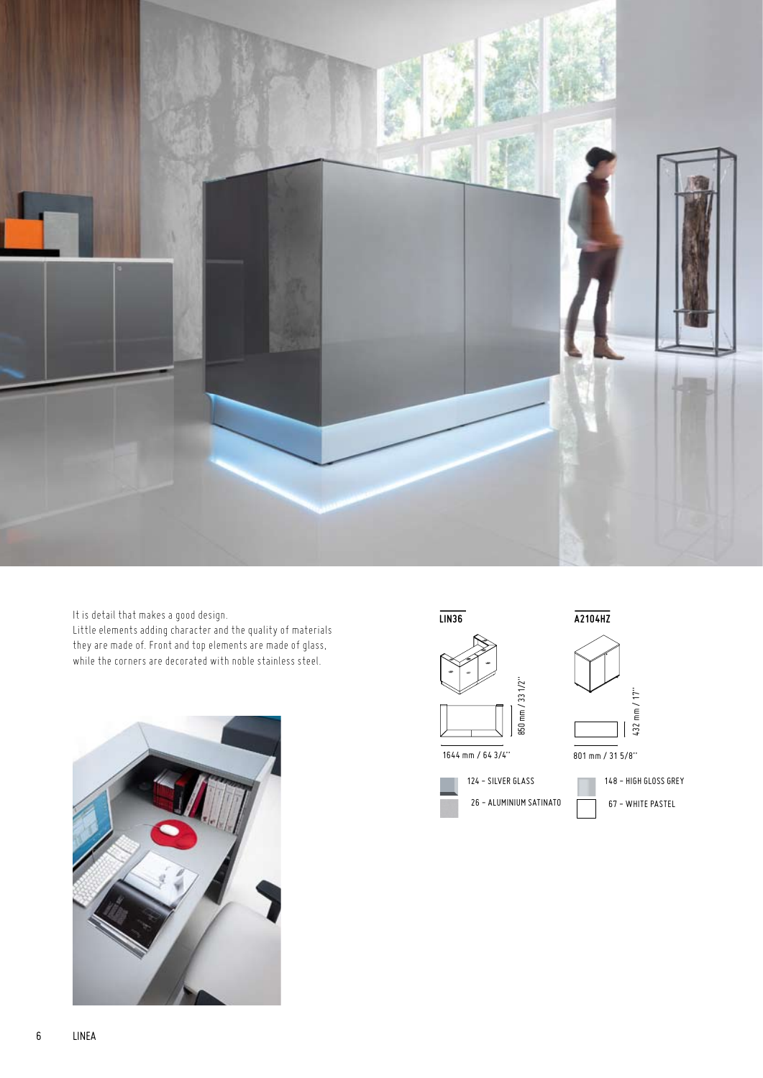

It is detail that makes a good design. Little elements adding character and the quality of materials they are made of. Front and top elements are made of glass, while the corners are decorated with noble stainless steel.



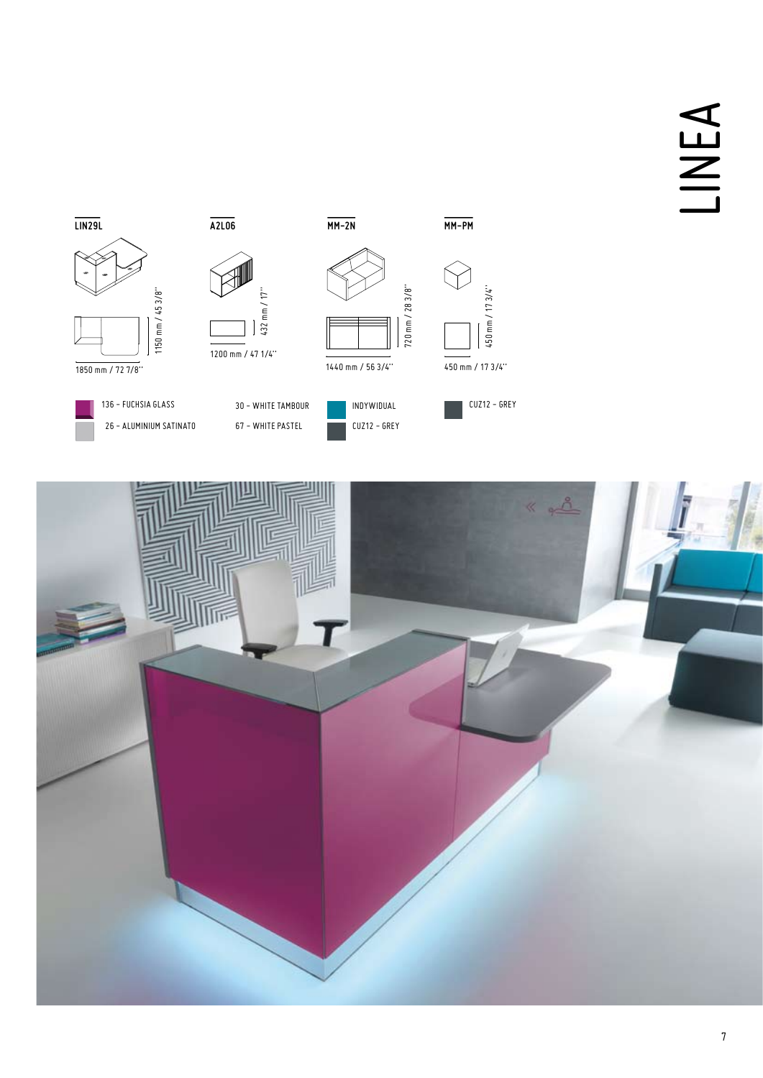LINEA



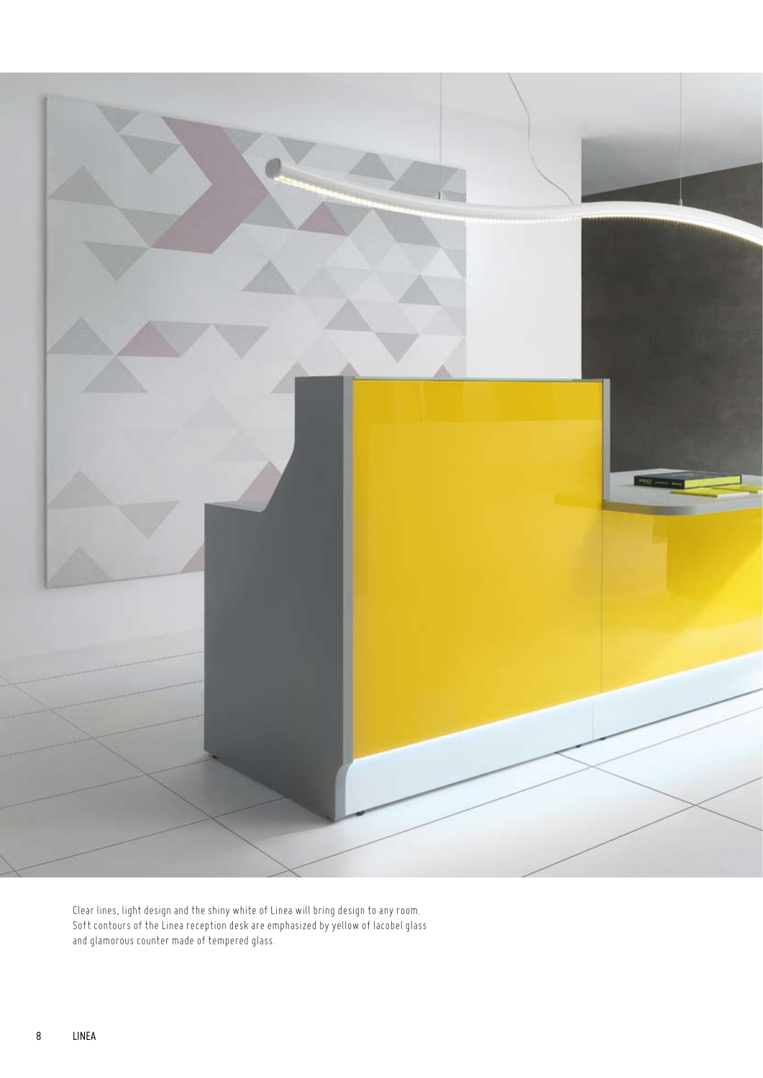

Clear lines, light design and the shiny white of Linea will bring design to any room. Soft contours of the Linea reception desk are emphasized by yellow of lacobel glass and glamorous counter made of tempered glass.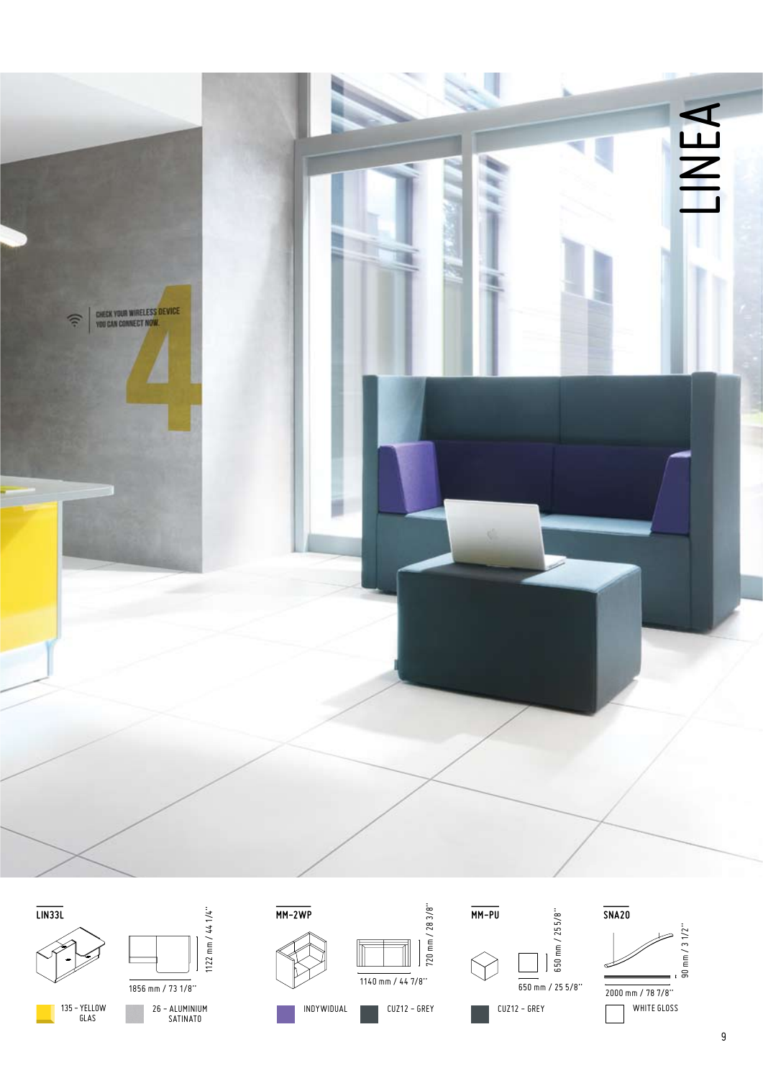







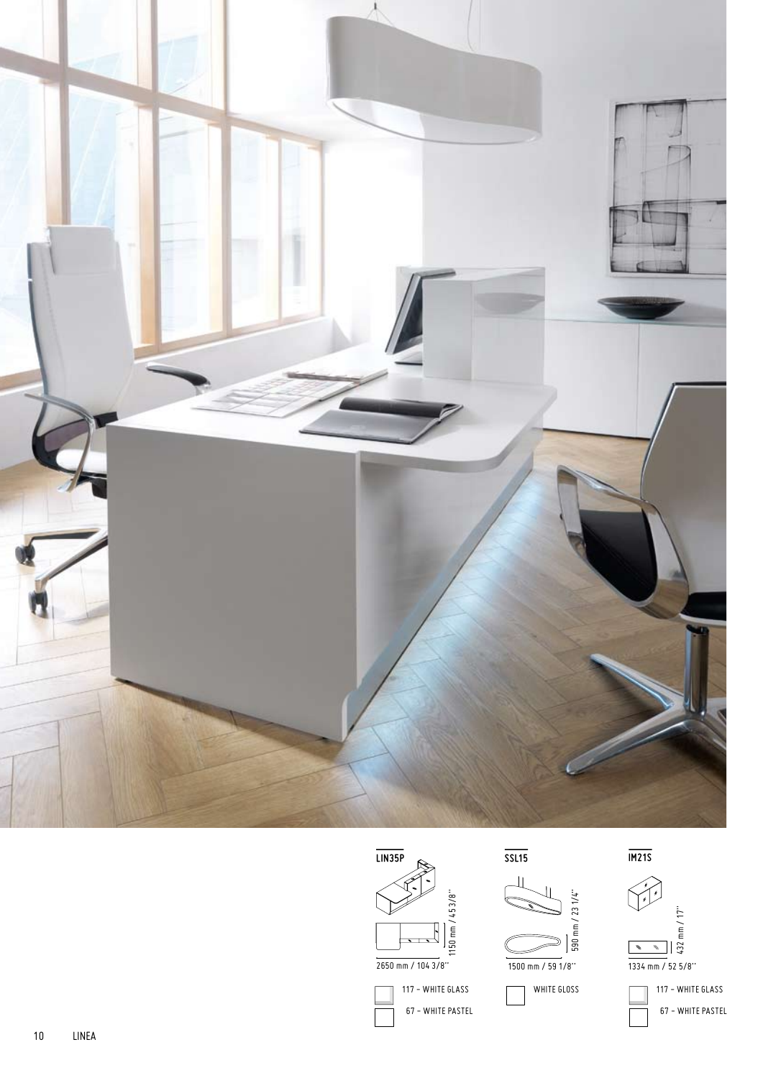





1150 mm / 45 3/8''











67 - WHITE PASTEL **67 - WHITE PASTEL** WHITE GLOSS 117 - WHITE GLASS

432 mm / 17'' 1334 mm / 52 5/8''

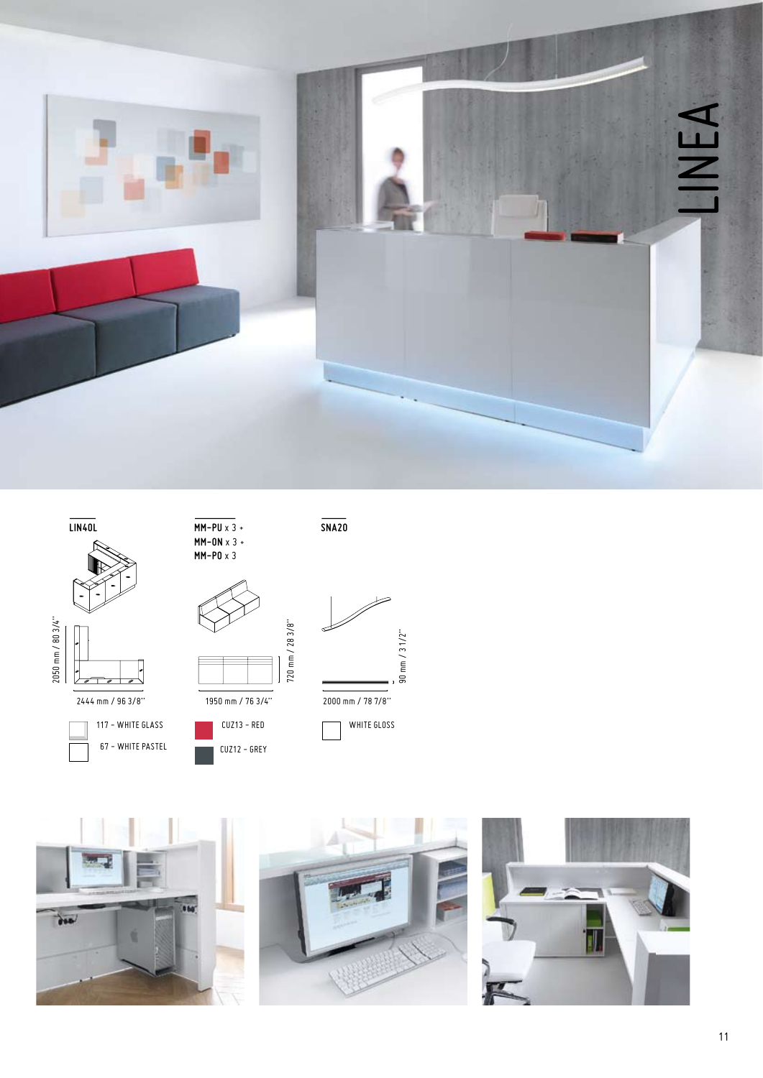







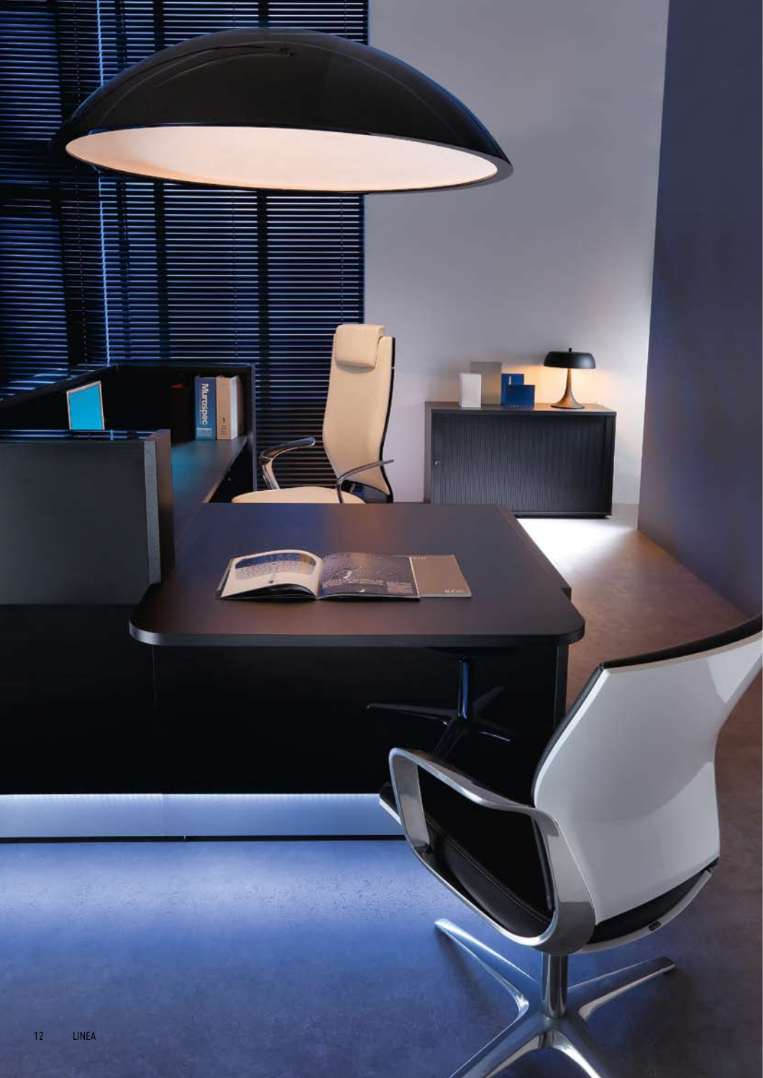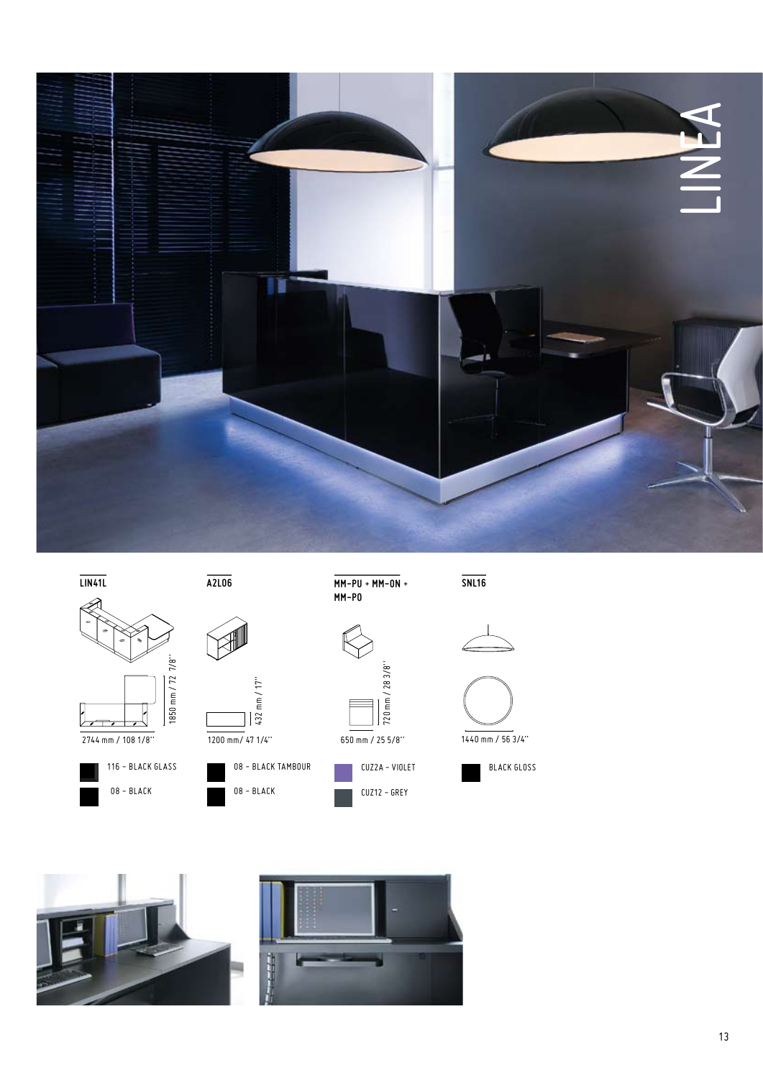

Į.



116 - BLACK GLASS

08 - BLACK

 $\frac{1}{432}$  mm / 17" 432 mm / 17'' 1200 mm/ 47 1/4''



**MM-PU** + **MM-ON** + **MM-PO**



CUZ12 - GREY